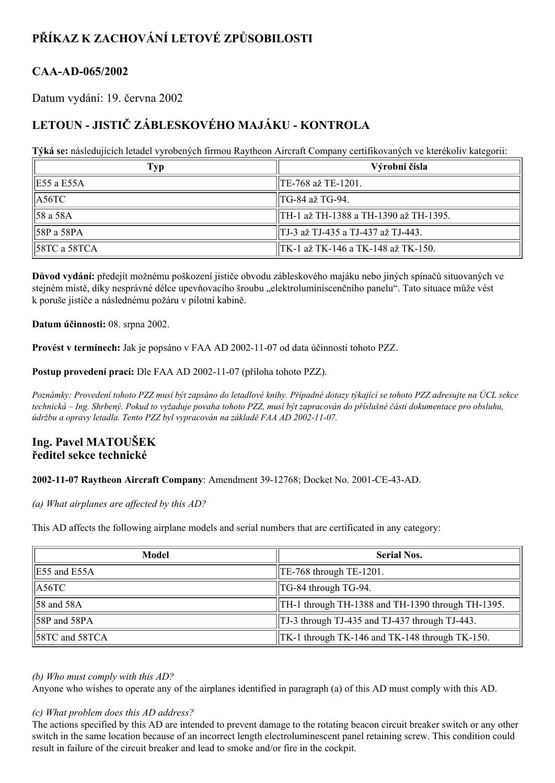# **PŘÍKAZ K ZACHOVÁNÍ LETOVÉ ZPŮSOBILOSTI**

## CAA-AD-065/2002

Datum vydání: 19. června 2002

## **LETOUN JISTIČ ZÁBLESKOVÉHO MAJÁKU KONTROLA**

**Týká se:** následujících letadel vyrobených firmou Raytheon Aircraft Company certifikovaných ve kterékoliv kategorii:

| Typ                      | Výrobní čísla                         |  |
|--------------------------|---------------------------------------|--|
| E55 a E55A               | TE-768 až TE-1201.                    |  |
| $\parallel$ A56TC        | TG-84 až TG-94.                       |  |
| 58 a 58A                 | TH-1 až TH-1388 a TH-1390 až TH-1395. |  |
| 58P a 58PA               | TJ-3 až TJ-435 a TJ-437 až TJ-443.    |  |
| $\parallel$ 58TC a 58TCA | TK-1 až TK-146 a TK-148 až TK-150.    |  |

**Důvod vydání:** předejít možnému poškození jističe obvodu zábleskového majáku nebo jiných spínačů situovaných ve stejném místě, díky nesprávné délce upevňovacího šroubu "elektroluminiscenčního panelu". Tato situace může vést k poruše jističe a následnému požáru v pilotní kabině.

**Datum účinnosti:** 08. srpna 2002.

**Provést v termínech:** Jak je popsáno v FAA AD 2002-11-07 od data účinnosti tohoto PZZ.

**Postup provedení prací:** Dle FAA AD 2002-11-07 (příloha tohoto PZZ).

Poznámky: Provedení tohoto PZZ musí být zapsáno do letadlové knihy. Případné dotazy týkající se tohoto PZZ adresujte na ÚCL sekce technická – Ing. Shrbený. Pokud to vyžaduje povaha tohoto PZZ, musí být zapracován do příslušné části dokumentace pro obsluhu, *údržbu a opravy letadla. Tento PZZ byl vypracován na základě FAA AD 20021107.*

### **Ing. Pavel MATOUŠEK ředitel sekce technické**

### **2002-11-07 Raytheon Aircraft Company: Amendment 39-12768; Docket No. 2001-CE-43-AD.**

*(a) What airplanes are af ected by this AD?*

This AD affects the following airplane models and serial numbers that are certificated in any category:

| Model                      | <b>Serial Nos.</b>                                |  |
|----------------------------|---------------------------------------------------|--|
| <b>E55</b> and E55A        | $\text{TE-768}$ through TE-1201.                  |  |
| $\parallel$ A56TC          | TG-84 through TG-94.                              |  |
| 58 and 58A                 | TH-1 through TH-1388 and TH-1390 through TH-1395. |  |
| $\parallel$ 58P and 58PA   | TJ-3 through TJ-435 and TJ-437 through TJ-443.    |  |
| $\parallel$ 58TC and 58TCA | TK-1 through TK-146 and TK-148 through TK-150.    |  |

### *(b) Who must comply with this AD?*

Anyone who wishes to operate any of the airplanes identified in paragraph (a) of this AD must comply with this AD.

### *(c) What problem does this AD address?*

The actions specified by this AD are intended to prevent damage to the rotating beacon circuit breaker switch or any other switch in the same location because of an incorrect length electroluminescent panel retaining screw. This condition could result in failure of the circuit breaker and lead to smoke and/or fire in the cockpit.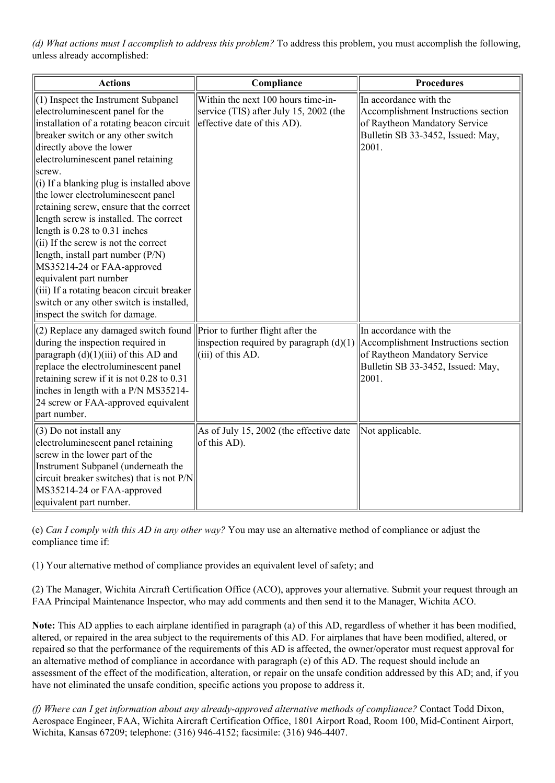*(d) What actions must I accomplish to address this problem?* To address this problem, you must accomplish the following, unless already accomplished:

| <b>Actions</b>                                                                                                                                                                                                                                                                                                                                                                                                                                                                                                                                                                                                                                                                                                        | Compliance                                                                                                  | <b>Procedures</b>                                                                                                                             |
|-----------------------------------------------------------------------------------------------------------------------------------------------------------------------------------------------------------------------------------------------------------------------------------------------------------------------------------------------------------------------------------------------------------------------------------------------------------------------------------------------------------------------------------------------------------------------------------------------------------------------------------------------------------------------------------------------------------------------|-------------------------------------------------------------------------------------------------------------|-----------------------------------------------------------------------------------------------------------------------------------------------|
| $(1)$ Inspect the Instrument Subpanel<br>electroluminescent panel for the<br>installation of a rotating beacon circuit<br>breaker switch or any other switch<br>directly above the lower<br>electroluminescent panel retaining<br>screw.<br>$(i)$ If a blanking plug is installed above<br>the lower electroluminescent panel<br>retaining screw, ensure that the correct<br>length screw is installed. The correct<br>length is 0.28 to 0.31 inches<br>(ii) If the screw is not the correct<br>length, install part number (P/N)<br>MS35214-24 or FAA-approved<br>equivalent part number<br>(iii) If a rotating beacon circuit breaker<br>switch or any other switch is installed,<br>inspect the switch for damage. | Within the next 100 hours time-in-<br>service (TIS) after July 15, 2002 (the<br>effective date of this AD). | In accordance with the<br>Accomplishment Instructions section<br>of Raytheon Mandatory Service<br>Bulletin SB 33-3452, Issued: May,<br> 2001. |
| (2) Replace any damaged switch found $\ $ Prior to further flight after the<br>during the inspection required in<br>paragraph $(d)(1)(iii)$ of this AD and<br>replace the electroluminescent panel<br>retaining screw if it is not 0.28 to 0.31<br>inches in length with a P/N MS35214-<br>24 screw or FAA-approved equivalent<br>part number.                                                                                                                                                                                                                                                                                                                                                                        | inspection required by paragraph $(d)(1)$<br>$(iii)$ of this AD.                                            | In accordance with the<br>Accomplishment Instructions section<br>of Raytheon Mandatory Service<br>Bulletin SB 33-3452, Issued: May,<br>2001.  |
| (3) Do not install any<br>electroluminescent panel retaining<br>screw in the lower part of the<br>Instrument Subpanel (underneath the<br>circuit breaker switches) that is not P/N<br>MS35214-24 or FAA-approved<br>equivalent part number.                                                                                                                                                                                                                                                                                                                                                                                                                                                                           | As of July 15, 2002 (the effective date<br>of this AD).                                                     | Not applicable.                                                                                                                               |

(e) *Can I comply with this AD in any other way?* You may use an alternative method of compliance or adjust the compliance time if:

(1) Your alternative method of compliance provides an equivalent level of safety; and

(2) The Manager, Wichita Aircraft Certification Office (ACO), approves your alternative. Submit your request through an FAA Principal Maintenance Inspector, who may add comments and then send it to the Manager, Wichita ACO.

**Note:** This AD applies to each airplane identified in paragraph (a) of this AD, regardless of whether it has been modified, altered, or repaired in the area subject to the requirements of this AD. For airplanes that have been modified, altered, or repaired so that the performance of the requirements of this AD is affected, the owner/operator must request approval for an alternative method of compliance in accordance with paragraph (e) of this AD. The request should include an assessment of the effect of the modification, alteration, or repair on the unsafe condition addressed by this AD; and, if you have not eliminated the unsafe condition, specific actions you propose to address it.

*(f) Where can I get information about any alreadyapproved alternative methods of compliance?* Contact Todd Dixon, Aerospace Engineer, FAA, Wichita Aircraft Certification Office, 1801 Airport Road, Room 100, Mid-Continent Airport, Wichita, Kansas 67209; telephone: (316) 9464152; facsimile: (316) 9464407.